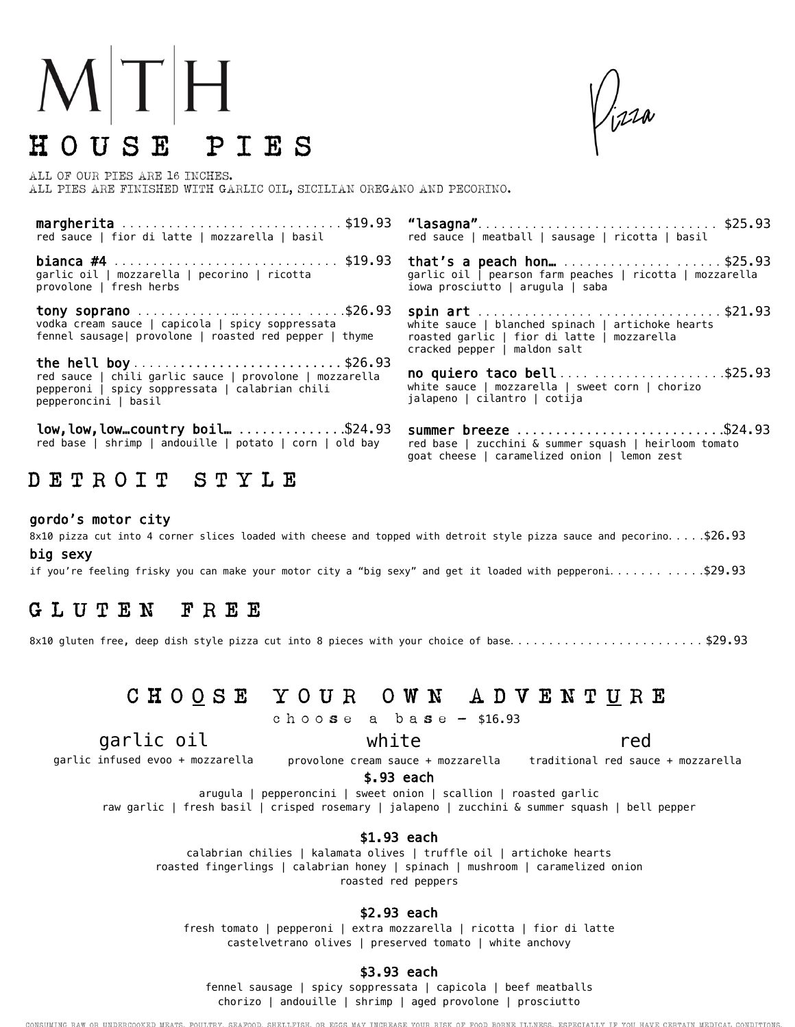# $M|T|H$ H O U S E P I E S

ALL OF OUR PIES ARE 16 INCHES. ALL PIES ARE FINISHED WITH GARLIC OIL, SICILIAN OREGANO AND PECORINO.

| red sauce   fior di latte   mozzarella   basil                                                                                     | red sauce   meatball   sausage   ricotta   basil                                                                                                                 |
|------------------------------------------------------------------------------------------------------------------------------------|------------------------------------------------------------------------------------------------------------------------------------------------------------------|
| <b>bianca #4</b> \$19.93<br>garlic oil   mozzarella   pecorino   ricotta<br>provolone   fresh herbs                                | that's a peach hon\$25.93<br>garlic oil   pearson farm peaches   ricotta   mozzarella<br>iowa prosciutto   arugula   saba                                        |
| tony soprano \$26.93<br>vodka cream sauce   capicola   spicy soppressata<br>fennel sausage  provolone   roasted red pepper   thyme | spin art \$21.93<br>white sauce $\vert$ blanched spinach $\vert$ artichoke hearts<br>roasted garlic   fior di latte   mozzarella<br>cracked pepper   maldon salt |
| red sauce   chili garlic sauce   provolone   mozzarella<br>pepperoni   spicy soppressata   calabrian chili<br>pepperoncini   basil | no quiero taco bell\$25.93<br>white sauce   mozzarella   sweet corn   chorizo<br>jalapeno   cilantro   cotija                                                    |
| $low, low, low country$ boil\$24.93<br>red base   shrimp   andouille   potato   corn   old bay                                     | summer breeze \$24.93<br>red base   zucchini & summer squash   heirloom tomato<br>goat cheese   caramelized onion   lemon zest                                   |
| DETROIT<br>STYLE                                                                                                                   |                                                                                                                                                                  |

#### gordo's motor city

8x10 pizza cut into 4 corner slices loaded with cheese and topped with detroit style pizza sauce and pecorino. . . . .\$26.93 big sexy

if you're feeling frisky you can make your motor city a "big sexy" and get it loaded with pepperoni...........\$29.93

# G L U T E N F R E E

8x10 gluten free, deep dish style pizza cut into 8 pieces with your choice of base..........................\$29.93

# C H O O S E Y O U R O W N A D V E N T U R E

c h o o s e a b a s e - \$16.93

# garlic oil

garlic infused evoo + mozzarella

provolone cream sauce + mozzarella btraditional red sauce + mozzarella

\$.93 each

arugula | pepperoncini | sweet onion | scallion | roasted garlic

raw garlic | fresh basil | crisped rosemary | jalapeno | zucchini & summer squash | bell pepper

#### \$1.93 each

calabrian chilies | kalamata olives | truffle oil | artichoke hearts roasted fingerlings | calabrian honey | spinach | mushroom | caramelized onion roasted red peppers

#### \$2.93 each

fresh tomato | pepperoni | extra mozzarella | ricotta | fior di latte castelvetrano olives | preserved tomato | white anchovy

#### \$3.93 each

fennel sausage | spicy soppressata | capicola | beef meatballs chorizo | andouille | shrimp | aged provolone | prosciutto

CONSUMING RAW OR UNDERCOOKED MEATS, POULTRY, SEAFOOD, SHELLFISH, OR EGGS MAY INCREASE YOUR RISK OF FOOD BORNE ILLNESS, ESPECIALLY IF YOU HAVE CERTAIN MEDICAL CONDITIONS

white

red